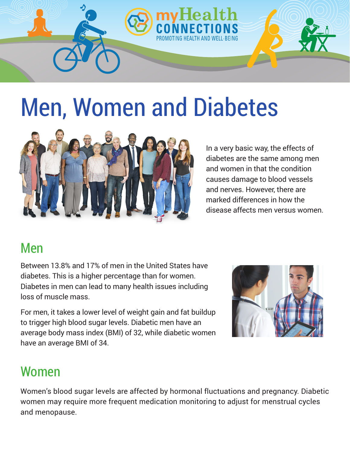

# Men, Women and Diabetes



In a very basic way, the effects of diabetes are the same among men and women in that the condition causes damage to blood vessels and nerves. However, there are marked differences in how the disease affects men versus women.

### Men

Between 13.8% and 17% of men in the United States have diabetes. This is a higher percentage than for women. Diabetes in men can lead to many health issues including loss of muscle mass.

For men, it takes a lower level of weight gain and fat buildup to trigger high blood sugar levels. Diabetic men have an average body mass index (BMI) of 32, while diabetic women have an average BMI of 34.



# Women

Women's blood sugar levels are affected by hormonal fluctuations and pregnancy. Diabetic women may require more frequent medication monitoring to adjust for menstrual cycles and menopause.